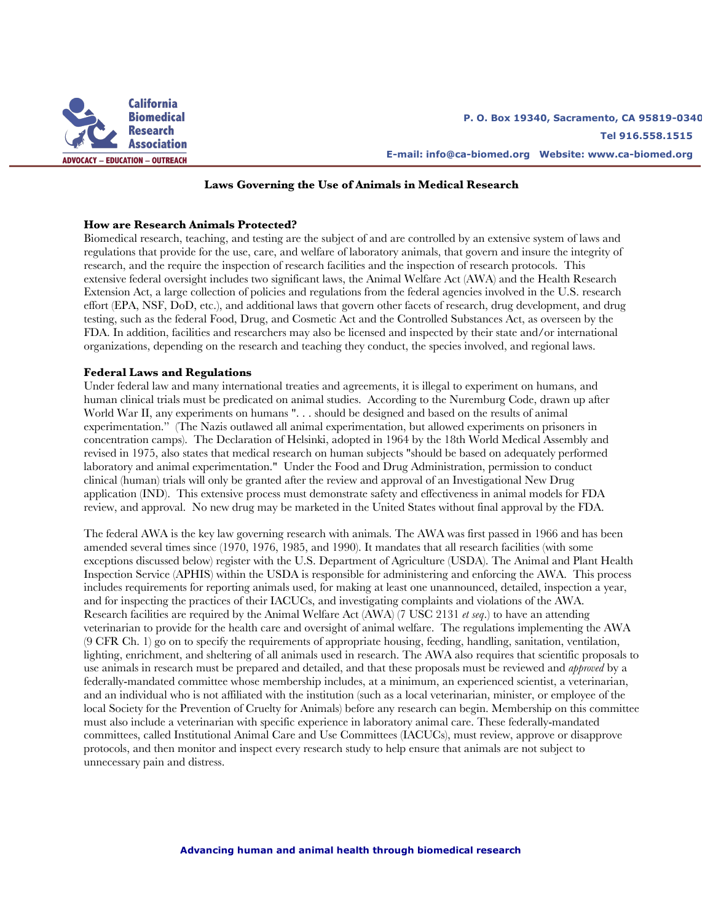

### **Laws Governing the Use of Animals in Medical Research**

#### **How are Research Animals Protected?**

Biomedical research, teaching, and testing are the subject of and are controlled by an extensive system of laws and regulations that provide for the use, care, and welfare of laboratory animals, that govern and insure the integrity of research, and the require the inspection of research facilities and the inspection of research protocols. This extensive federal oversight includes two significant laws, the Animal Welfare Act (AWA) and the Health Research Extension Act, a large collection of policies and regulations from the federal agencies involved in the U.S. research effort (EPA, NSF, DoD, etc.), and additional laws that govern other facets of research, drug development, and drug testing, such as the federal Food, Drug, and Cosmetic Act and the Controlled Substances Act, as overseen by the FDA. In addition, facilities and researchers may also be licensed and inspected by their state and/or international organizations, depending on the research and teaching they conduct, the species involved, and regional laws.

#### **Federal Laws and Regulations**

Under federal law and many international treaties and agreements, it is illegal to experiment on humans, and human clinical trials must be predicated on animal studies. According to the Nuremburg Code, drawn up after World War II, any experiments on humans ". . . should be designed and based on the results of animal experimentation." (The Nazis outlawed all animal experimentation, but allowed experiments on prisoners in concentration camps). The Declaration of Helsinki, adopted in 1964 by the 18th World Medical Assembly and revised in 1975, also states that medical research on human subjects "should be based on adequately performed laboratory and animal experimentation." Under the Food and Drug Administration, permission to conduct clinical (human) trials will only be granted after the review and approval of an Investigational New Drug application (IND). This extensive process must demonstrate safety and effectiveness in animal models for FDA review, and approval. No new drug may be marketed in the United States without final approval by the FDA.

The federal AWA is the key law governing research with animals. The AWA was first passed in 1966 and has been amended several times since (1970, 1976, 1985, and 1990). It mandates that all research facilities (with some exceptions discussed below) register with the U.S. Department of Agriculture (USDA). The Animal and Plant Health Inspection Service (APHIS) within the USDA is responsible for administering and enforcing the AWA. This process includes requirements for reporting animals used, for making at least one unannounced, detailed, inspection a year, and for inspecting the practices of their IACUCs, and investigating complaints and violations of the AWA. Research facilities are required by the Animal Welfare Act (AWA) (7 USC 2131 *et seq*.) to have an attending veterinarian to provide for the health care and oversight of animal welfare. The regulations implementing the AWA (9 CFR Ch. 1) go on to specify the requirements of appropriate housing, feeding, handling, sanitation, ventilation, lighting, enrichment, and sheltering of all animals used in research. The AWA also requires that scientific proposals to use animals in research must be prepared and detailed, and that these proposals must be reviewed and *approved* by a federally-mandated committee whose membership includes, at a minimum, an experienced scientist, a veterinarian, and an individual who is not affiliated with the institution (such as a local veterinarian, minister, or employee of the local Society for the Prevention of Cruelty for Animals) before any research can begin. Membership on this committee must also include a veterinarian with specific experience in laboratory animal care. These federally-mandated committees, called Institutional Animal Care and Use Committees (IACUCs), must review, approve or disapprove protocols, and then monitor and inspect every research study to help ensure that animals are not subject to unnecessary pain and distress.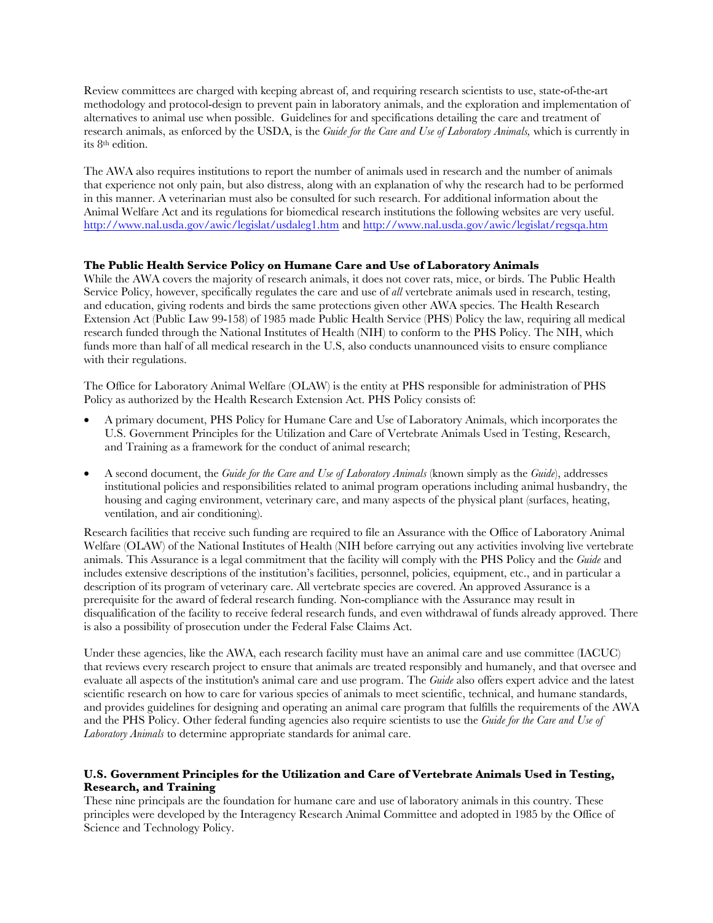Review committees are charged with keeping abreast of, and requiring research scientists to use, state-of-the-art methodology and protocol-design to prevent pain in laboratory animals, and the exploration and implementation of alternatives to animal use when possible. Guidelines for and specifications detailing the care and treatment of research animals, as enforced by the USDA, is the *Guide for the Care and Use of Laboratory Animals,* which is currently in its 8th edition.

The AWA also requires institutions to report the number of animals used in research and the number of animals that experience not only pain, but also distress, along with an explanation of why the research had to be performed in this manner. A veterinarian must also be consulted for such research. For additional information about the Animal Welfare Act and its regulations for biomedical research institutions the following websites are very useful. http://www.nal.usda.gov/awic/legislat/usdaleg1.htm and http://www.nal.usda.gov/awic/legislat/regsqa.htm

# **The Public Health Service Policy on Humane Care and Use of Laboratory Animals**

While the AWA covers the majority of research animals, it does not cover rats, mice, or birds. The Public Health Service Policy, however, specifically regulates the care and use of *all* vertebrate animals used in research, testing, and education, giving rodents and birds the same protections given other AWA species. The Health Research Extension Act (Public Law 99-158) of 1985 made Public Health Service (PHS) Policy the law, requiring all medical research funded through the National Institutes of Health (NIH) to conform to the PHS Policy. The NIH, which funds more than half of all medical research in the U.S, also conducts unannounced visits to ensure compliance with their regulations.

The Office for Laboratory Animal Welfare (OLAW) is the entity at PHS responsible for administration of PHS Policy as authorized by the Health Research Extension Act. PHS Policy consists of:

- A primary document, PHS Policy for Humane Care and Use of Laboratory Animals, which incorporates the U.S. Government Principles for the Utilization and Care of Vertebrate Animals Used in Testing, Research, and Training as a framework for the conduct of animal research;
- A second document, the *Guide for the Care and Use of Laboratory Animals* (known simply as the *Guide*), addresses institutional policies and responsibilities related to animal program operations including animal husbandry, the housing and caging environment, veterinary care, and many aspects of the physical plant (surfaces, heating, ventilation, and air conditioning).

Research facilities that receive such funding are required to file an Assurance with the Office of Laboratory Animal Welfare (OLAW) of the National Institutes of Health (NIH before carrying out any activities involving live vertebrate animals. This Assurance is a legal commitment that the facility will comply with the PHS Policy and the *Guide* and includes extensive descriptions of the institution's facilities, personnel, policies, equipment, etc., and in particular a description of its program of veterinary care. All vertebrate species are covered. An approved Assurance is a prerequisite for the award of federal research funding. Non-compliance with the Assurance may result in disqualification of the facility to receive federal research funds, and even withdrawal of funds already approved. There is also a possibility of prosecution under the Federal False Claims Act.

Under these agencies, like the AWA, each research facility must have an animal care and use committee (IACUC) that reviews every research project to ensure that animals are treated responsibly and humanely, and that oversee and evaluate all aspects of the institution's animal care and use program. The *Guide* also offers expert advice and the latest scientific research on how to care for various species of animals to meet scientific, technical, and humane standards, and provides guidelines for designing and operating an animal care program that fulfills the requirements of the AWA and the PHS Policy. Other federal funding agencies also require scientists to use the *Guide for the Care and Use of Laboratory Animals* to determine appropriate standards for animal care.

### **U.S. Government Principles for the Utilization and Care of Vertebrate Animals Used in Testing, Research, and Training**

These nine principals are the foundation for humane care and use of laboratory animals in this country. These principles were developed by the Interagency Research Animal Committee and adopted in 1985 by the Office of Science and Technology Policy.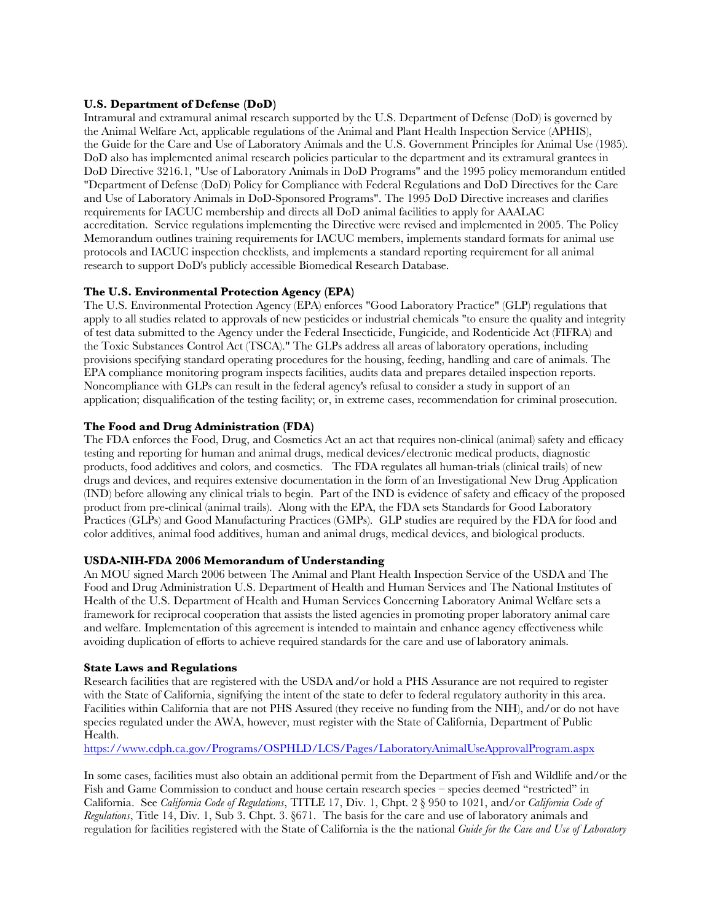### **U.S. Department of Defense (DoD)**

Intramural and extramural animal research supported by the U.S. Department of Defense (DoD) is governed by the Animal Welfare Act, applicable regulations of the Animal and Plant Health Inspection Service (APHIS), the Guide for the Care and Use of Laboratory Animals and the U.S. Government Principles for Animal Use (1985). DoD also has implemented animal research policies particular to the department and its extramural grantees in DoD Directive 3216.1, "Use of Laboratory Animals in DoD Programs" and the 1995 policy memorandum entitled "Department of Defense (DoD) Policy for Compliance with Federal Regulations and DoD Directives for the Care and Use of Laboratory Animals in DoD-Sponsored Programs". The 1995 DoD Directive increases and clarifies requirements for IACUC membership and directs all DoD animal facilities to apply for AAALAC accreditation. Service regulations implementing the Directive were revised and implemented in 2005. The Policy Memorandum outlines training requirements for IACUC members, implements standard formats for animal use protocols and IACUC inspection checklists, and implements a standard reporting requirement for all animal research to support DoD's publicly accessible Biomedical Research Database.

### **The U.S. Environmental Protection Agency (EPA)**

The U.S. Environmental Protection Agency (EPA) enforces "Good Laboratory Practice" (GLP) regulations that apply to all studies related to approvals of new pesticides or industrial chemicals "to ensure the quality and integrity of test data submitted to the Agency under the Federal Insecticide, Fungicide, and Rodenticide Act (FIFRA) and the Toxic Substances Control Act (TSCA)." The GLPs address all areas of laboratory operations, including provisions specifying standard operating procedures for the housing, feeding, handling and care of animals. The EPA compliance monitoring program inspects facilities, audits data and prepares detailed inspection reports. Noncompliance with GLPs can result in the federal agency's refusal to consider a study in support of an application; disqualification of the testing facility; or, in extreme cases, recommendation for criminal prosecution.

## **The Food and Drug Administration (FDA)**

The FDA enforces the Food, Drug, and Cosmetics Act an act that requires non-clinical (animal) safety and efficacy testing and reporting for human and animal drugs, medical devices/electronic medical products, diagnostic products, food additives and colors, and cosmetics. The FDA regulates all human-trials (clinical trails) of new drugs and devices, and requires extensive documentation in the form of an Investigational New Drug Application (IND) before allowing any clinical trials to begin. Part of the IND is evidence of safety and efficacy of the proposed product from pre-clinical (animal trails). Along with the EPA, the FDA sets Standards for Good Laboratory Practices (GLPs) and Good Manufacturing Practices (GMPs). GLP studies are required by the FDA for food and color additives, animal food additives, human and animal drugs, medical devices, and biological products.

## **USDA-NIH-FDA 2006 Memorandum of Understanding**

An MOU signed March 2006 between The Animal and Plant Health Inspection Service of the USDA and The Food and Drug Administration U.S. Department of Health and Human Services and The National Institutes of Health of the U.S. Department of Health and Human Services Concerning Laboratory Animal Welfare sets a framework for reciprocal cooperation that assists the listed agencies in promoting proper laboratory animal care and welfare. Implementation of this agreement is intended to maintain and enhance agency effectiveness while avoiding duplication of efforts to achieve required standards for the care and use of laboratory animals.

#### **State Laws and Regulations**

Research facilities that are registered with the USDA and/or hold a PHS Assurance are not required to register with the State of California, signifying the intent of the state to defer to federal regulatory authority in this area. Facilities within California that are not PHS Assured (they receive no funding from the NIH), and/or do not have species regulated under the AWA, however, must register with the State of California, Department of Public Health.

https://www.cdph.ca.gov/Programs/OSPHLD/LCS/Pages/LaboratoryAnimalUseApprovalProgram.aspx

In some cases, facilities must also obtain an additional permit from the Department of Fish and Wildlife and/or the Fish and Game Commission to conduct and house certain research species – species deemed "restricted" in California. See *California Code of Regulations*, TITLE 17, Div. 1, Chpt. 2 § 950 to 1021, and/or *California Code of Regulations*, Title 14, Div. 1, Sub 3. Chpt. 3. §671. The basis for the care and use of laboratory animals and regulation for facilities registered with the State of California is the the national *Guide for the Care and Use of Laboratory*